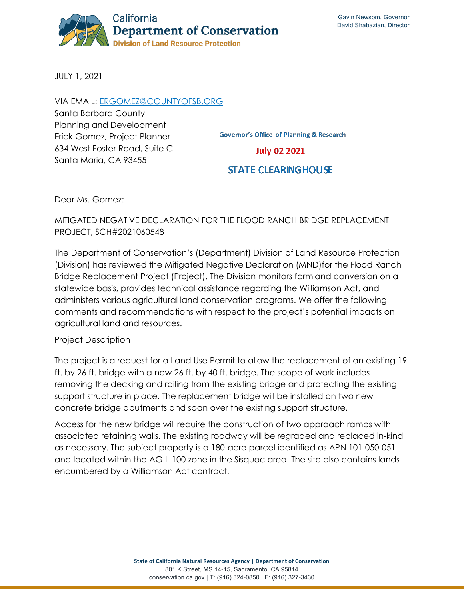

JULY 1, 2021

### VIA EMAIL: [ERGOMEZ@COUNTYOFSB.ORG](mailto:ergomez@countyofsb.org)

Santa Barbara County Planning and Development Erick Gomez, Project Planner 634 West Foster Road, Suite C Santa Maria, CA 93455

**Governor's Office of Planning & Research** 

### **July 02 2021**

# **STATE CLEARING HOUSE**

Dear Ms. Gomez:

## MITIGATED NEGATIVE DECLARATION FOR THE FLOOD RANCH BRIDGE REPLACEMENT PROJECT, SCH#2021060548

The Department of Conservation's (Department) Division of Land Resource Protection (Division) has reviewed the Mitigated Negative Declaration (MND)for the Flood Ranch Bridge Replacement Project (Project). The Division monitors farmland conversion on a statewide basis, provides technical assistance regarding the Williamson Act, and administers various agricultural land conservation programs. We offer the following comments and recommendations with respect to the project's potential impacts on agricultural land and resources.

#### Project Description

The project is a request for a Land Use Permit to allow the replacement of an existing 19 ft. by 26 ft. bridge with a new 26 ft. by 40 ft. bridge. The scope of work includes removing the decking and railing from the existing bridge and protecting the existing support structure in place. The replacement bridge will be installed on two new concrete bridge abutments and span over the existing support structure.

Access for the new bridge will require the construction of two approach ramps with associated retaining walls. The existing roadway will be regraded and replaced in-kind as necessary. The subject property is a 180-acre parcel identified as APN 101-050-051 and located within the AG-II-100 zone in the Sisquoc area. The site also contains lands encumbered by a Williamson Act contract.